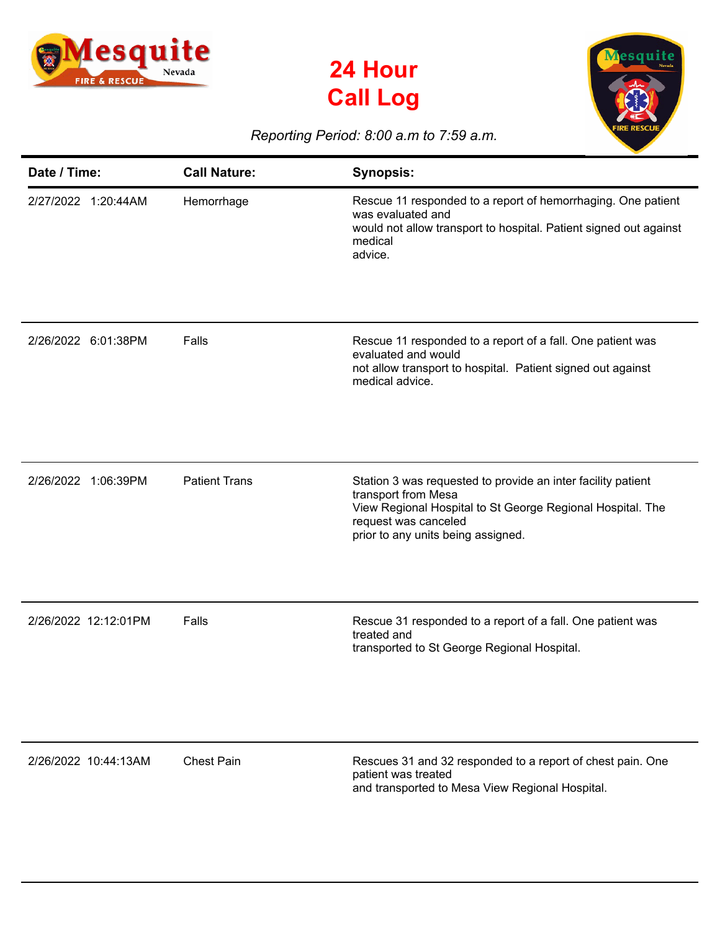





## *Reporting Period: 8:00 a.m to 7:59 a.m.*

| Date / Time:           | <b>Call Nature:</b>  | <b>Synopsis:</b>                                                                                                                                                                                                |
|------------------------|----------------------|-----------------------------------------------------------------------------------------------------------------------------------------------------------------------------------------------------------------|
| 2/27/2022 1:20:44AM    | Hemorrhage           | Rescue 11 responded to a report of hemorrhaging. One patient<br>was evaluated and<br>would not allow transport to hospital. Patient signed out against<br>medical<br>advice.                                    |
| 2/26/2022 6:01:38PM    | Falls                | Rescue 11 responded to a report of a fall. One patient was<br>evaluated and would<br>not allow transport to hospital. Patient signed out against<br>medical advice.                                             |
| 2/26/2022<br>1:06:39PM | <b>Patient Trans</b> | Station 3 was requested to provide an inter facility patient<br>transport from Mesa<br>View Regional Hospital to St George Regional Hospital. The<br>request was canceled<br>prior to any units being assigned. |
| 2/26/2022 12:12:01PM   | Falls                | Rescue 31 responded to a report of a fall. One patient was<br>treated and<br>transported to St George Regional Hospital.                                                                                        |
| 2/26/2022 10:44:13AM   | <b>Chest Pain</b>    | Rescues 31 and 32 responded to a report of chest pain. One<br>patient was treated<br>and transported to Mesa View Regional Hospital.                                                                            |